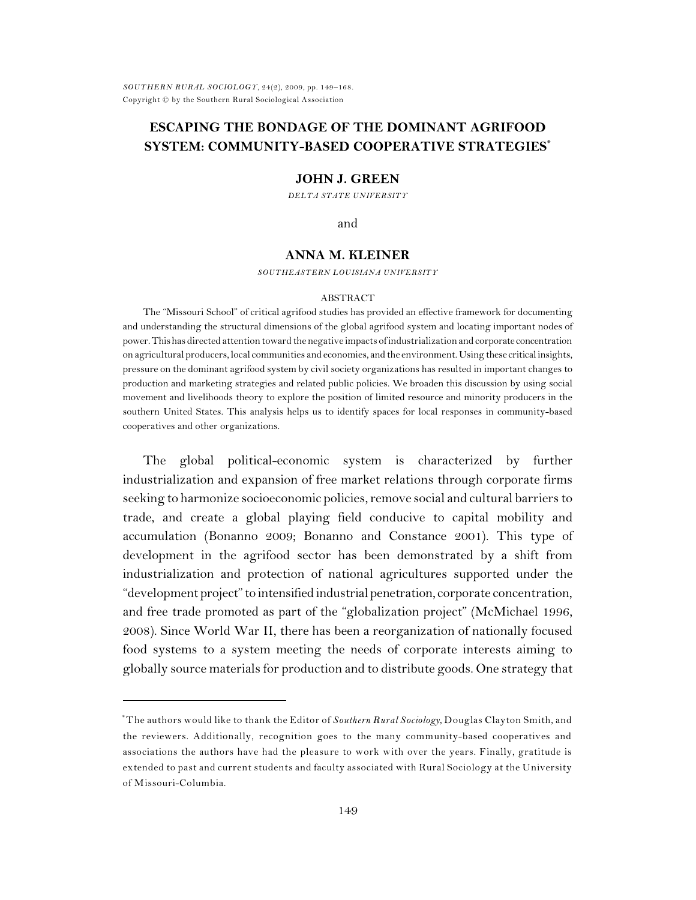## **ESCAPING THE BONDAGE OF THE DOMINANT AGRIFOOD SYSTEM: COMMUNITY-BASED COOPERATIVE STRATEGIES\***

#### **JOHN J. GREEN**

*DELTA STATE UNIVERSITY*

and

## **ANNA M. KLEINER**

*SOUTHEASTERN LOUISIANA UNIVERSITY*

#### ABSTRACT

The "Missouri School" of critical agrifood studies has provided an effective framework for documenting and understanding the structural dimensions of the global agrifood system and locating important nodes of power.Thishas directed attention toward the negative impacts of industrialization and corporate concentration on agricultural producers, local communities and economies, and the environment. Using these criticalinsights, pressure on the dominant agrifood system by civil society organizations has resulted in important changes to production and marketing strategies and related public policies. We broaden this discussion by using social movement and livelihoods theory to explore the position of limited resource and minority producers in the southern United States. This analysis helps us to identify spaces for local responses in community-based cooperatives and other organizations.

The global political-economic system is characterized by further industrialization and expansion of free market relations through corporate firms seeking to harmonize socioeconomic policies, remove social and cultural barriersto trade, and create a global playing field conducive to capital mobility and accumulation (Bonanno 2009; Bonanno and Constance 2001). This type of development in the agrifood sector has been demonstrated by a shift from industrialization and protection of national agricultures supported under the "development project" to intensified industrial penetration, corporate concentration, and free trade promoted as part of the "globalization project" (McMichael 1996, 2008). Since World War II, there has been a reorganization of nationally focused food systems to a system meeting the needs of corporate interests aiming to globally source materials for production and to distribute goods. One strategy that

The authors would like to thank the Editor of *Southern Rural Sociology*, Douglas Clayton Smith, and \* the reviewers. Additionally, recognition goes to the many community-based cooperatives and associations the authors have had the pleasure to work with over the years. Finally, gratitude is extended to past and current students and faculty associated with Rural Sociology at the University of Missouri-Columbia.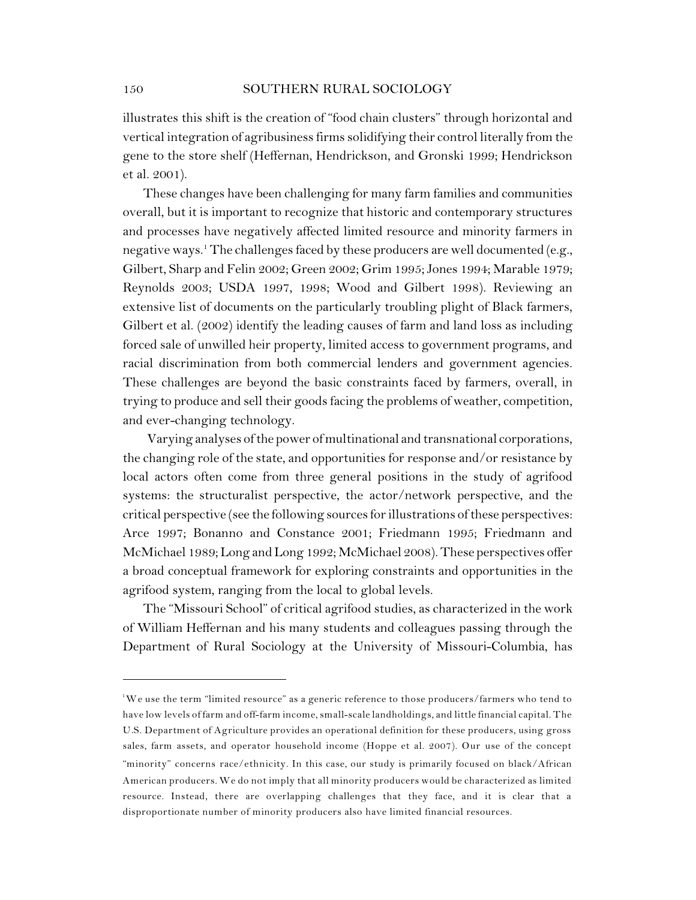illustrates this shift is the creation of "food chain clusters" through horizontal and vertical integration of agribusiness firms solidifying their control literally from the gene to the store shelf (Heffernan, Hendrickson, and Gronski 1999; Hendrickson et al. 2001).

These changes have been challenging for many farm families and communities overall, but it is important to recognize that historic and contemporary structures and processes have negatively affected limited resource and minority farmers in negative ways.<sup>1</sup> The challenges faced by these producers are well documented (e.g., Gilbert, Sharp and Felin 2002; Green 2002; Grim 1995; Jones 1994; Marable 1979; Reynolds 2003; USDA 1997, 1998; Wood and Gilbert 1998). Reviewing an extensive list of documents on the particularly troubling plight of Black farmers, Gilbert et al. (2002) identify the leading causes of farm and land loss as including forced sale of unwilled heir property, limited access to government programs, and racial discrimination from both commercial lenders and government agencies. These challenges are beyond the basic constraints faced by farmers, overall, in trying to produce and sell their goods facing the problems of weather, competition, and ever-changing technology.

Varying analyses of the power of multinational and transnational corporations, the changing role of the state, and opportunities for response and/or resistance by local actors often come from three general positions in the study of agrifood systems: the structuralist perspective, the actor/network perspective, and the critical perspective (see the following sources for illustrations of these perspectives: Arce 1997; Bonanno and Constance 2001; Friedmann 1995; Friedmann and McMichael 1989; Long and Long 1992; McMichael 2008). These perspectives offer a broad conceptual framework for exploring constraints and opportunities in the agrifood system, ranging from the local to global levels.

The "Missouri School" of critical agrifood studies, as characterized in the work of William Heffernan and his many students and colleagues passing through the Department of Rural Sociology at the University of Missouri-Columbia, has

 $\mathrm{^{1}We}$  use the term "limited resource" as a generic reference to those producers/farmers who tend to have low levels of farm and off-farm income, small-scale landholdings, and little financial capital. The U.S. Department of Agriculture provides an operational definition for these producers, using gross sales, farm assets, and operator household income (Hoppe et al. 2007). Our use of the concept "minority" concerns race/ethnicity. In this case, our study is primarily focused on black/African American producers. We do not imply that all minority producers would be characterized as limited resource. Instead, there are overlapping challenges that they face, and it is clear that a disproportionate number of minority producers also have limited financial resources.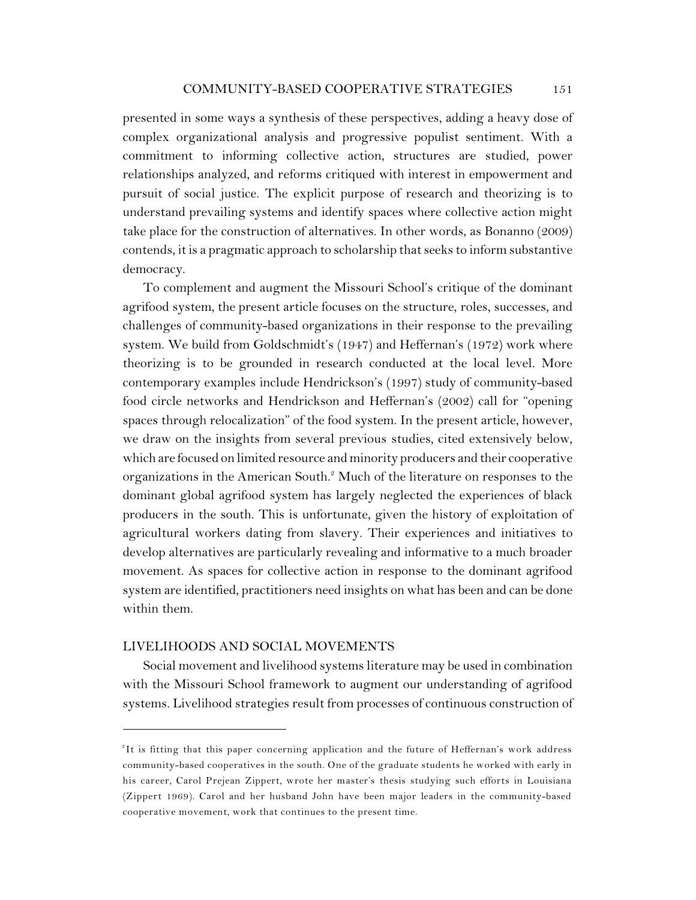presented in some ways a synthesis of these perspectives, adding a heavy dose of complex organizational analysis and progressive populist sentiment. With a commitment to informing collective action, structures are studied, power relationships analyzed, and reforms critiqued with interest in empowerment and pursuit of social justice. The explicit purpose of research and theorizing is to understand prevailing systems and identify spaces where collective action might take place for the construction of alternatives. In other words, as Bonanno (2009) contends, it is a pragmatic approach to scholarship that seeks to inform substantive democracy.

To complement and augment the Missouri School's critique of the dominant agrifood system, the present article focuses on the structure, roles, successes, and challenges of community-based organizations in their response to the prevailing system. We build from Goldschmidt's (1947) and Heffernan's (1972) work where theorizing is to be grounded in research conducted at the local level. More contemporary examples include Hendrickson's (1997) study of community-based food circle networks and Hendrickson and Heffernan's (2002) call for "opening spaces through relocalization" of the food system. In the present article, however, we draw on the insights from several previous studies, cited extensively below, which are focused on limited resource and minority producers and their cooperative organizations in the American South.<sup>2</sup> Much of the literature on responses to the dominant global agrifood system has largely neglected the experiences of black producers in the south. This is unfortunate, given the history of exploitation of agricultural workers dating from slavery. Their experiences and initiatives to develop alternatives are particularly revealing and informative to a much broader movement. As spaces for collective action in response to the dominant agrifood system are identified, practitioners need insights on what has been and can be done within them.

## LIVELIHOODS AND SOCIAL MOVEMENTS

Social movement and livelihood systems literature may be used in combination with the Missouri School framework to augment our understanding of agrifood systems. Livelihood strategies result from processes of continuous construction of

<sup>&</sup>lt;sup>2</sup>It is fitting that this paper concerning application and the future of Heffernan's work address community-based cooperatives in the south. One of the graduate students he worked with early in his career, Carol Prejean Zippert, wrote her master's thesis studying such efforts in Louisiana (Zippert 1969). Carol and her husband John have been major leaders in the community-based cooperative movement, work that continues to the present time.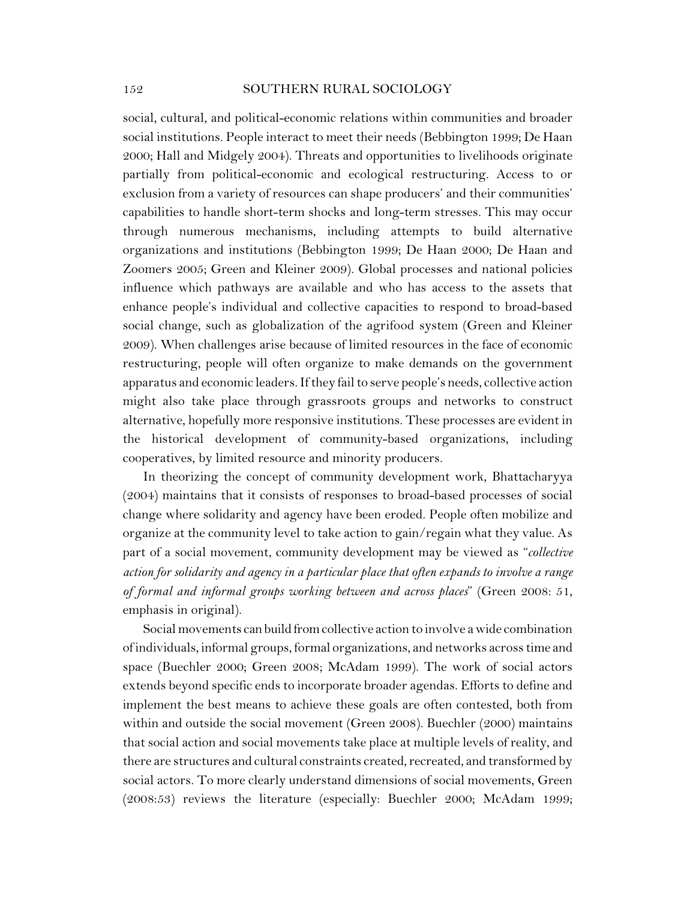social, cultural, and political-economic relations within communities and broader social institutions. People interact to meet their needs (Bebbington 1999; De Haan 2000; Hall and Midgely 2004). Threats and opportunities to livelihoods originate partially from political-economic and ecological restructuring. Access to or exclusion from a variety of resources can shape producers' and their communities' capabilities to handle short-term shocks and long-term stresses. This may occur through numerous mechanisms, including attempts to build alternative organizations and institutions (Bebbington 1999; De Haan 2000; De Haan and Zoomers 2005; Green and Kleiner 2009). Global processes and national policies influence which pathways are available and who has access to the assets that enhance people's individual and collective capacities to respond to broad-based social change, such as globalization of the agrifood system (Green and Kleiner 2009). When challenges arise because of limited resources in the face of economic restructuring, people will often organize to make demands on the government apparatus and economic leaders. If they fail to serve people's needs, collective action might also take place through grassroots groups and networks to construct alternative, hopefully more responsive institutions. These processes are evident in the historical development of community-based organizations, including cooperatives, by limited resource and minority producers.

In theorizing the concept of community development work, Bhattacharyya (2004) maintains that it consists of responses to broad-based processes of social change where solidarity and agency have been eroded. People often mobilize and organize at the community level to take action to gain/regain what they value. As part of a social movement, community development may be viewed as "*collective action for solidarity and agency in a particular place that often expands to involve a range of formal and informal groups working between and across places*" (Green 2008: 51, emphasis in original).

Social movements can build fromcollective action to involve a wide combination of individuals, informal groups, formal organizations, and networks across time and space (Buechler 2000; Green 2008; McAdam 1999). The work of social actors extends beyond specific ends to incorporate broader agendas. Efforts to define and implement the best means to achieve these goals are often contested, both from within and outside the social movement (Green 2008). Buechler (2000) maintains that social action and social movements take place at multiple levels of reality, and there are structures and cultural constraints created, recreated, and transformed by social actors. To more clearly understand dimensions of social movements, Green (2008:53) reviews the literature (especially: Buechler 2000; McAdam 1999;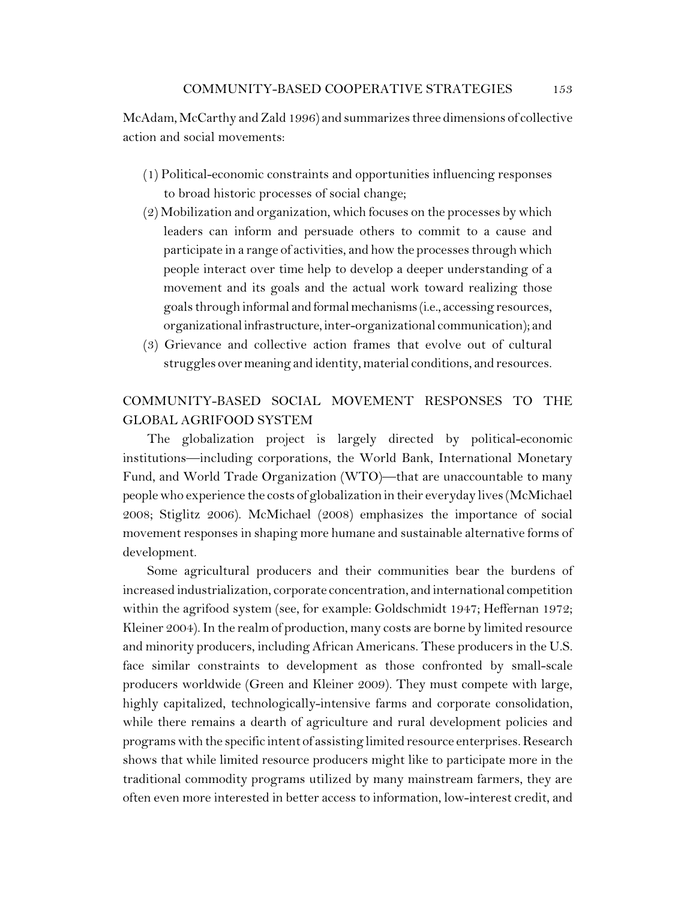McAdam, McCarthy and Zald 1996) and summarizes three dimensions of collective action and social movements:

- (1) Political-economic constraints and opportunities influencing responses to broad historic processes of social change;
- (2) Mobilization and organization, which focuses on the processes by which leaders can inform and persuade others to commit to a cause and participate in a range of activities, and how the processes through which people interact over time help to develop a deeper understanding of a movement and its goals and the actual work toward realizing those goals through informal and formalmechanisms (i.e., accessing resources, organizationalinfrastructure, inter-organizational communication); and
- (3) Grievance and collective action frames that evolve out of cultural struggles over meaning and identity, material conditions, and resources.

# COMMUNITY-BASED SOCIAL MOVEMENT RESPONSES TO THE GLOBAL AGRIFOOD SYSTEM

The globalization project is largely directed by political-economic institutions—including corporations, the World Bank, International Monetary Fund, and World Trade Organization (WTO)—that are unaccountable to many people who experience the costs of globalization in their everyday lives (McMichael 2008; Stiglitz 2006). McMichael (2008) emphasizes the importance of social movement responses in shaping more humane and sustainable alternative forms of development.

Some agricultural producers and their communities bear the burdens of increased industrialization, corporate concentration, and international competition within the agrifood system (see, for example: Goldschmidt 1947; Heffernan 1972; Kleiner 2004). In the realm of production, many costs are borne by limited resource and minority producers, including African Americans. These producers in the U.S. face similar constraints to development as those confronted by small-scale producers worldwide (Green and Kleiner 2009). They must compete with large, highly capitalized, technologically-intensive farms and corporate consolidation, while there remains a dearth of agriculture and rural development policies and programs with the specific intent of assisting limited resource enterprises. Research shows that while limited resource producers might like to participate more in the traditional commodity programs utilized by many mainstream farmers, they are often even more interested in better access to information, low-interest credit, and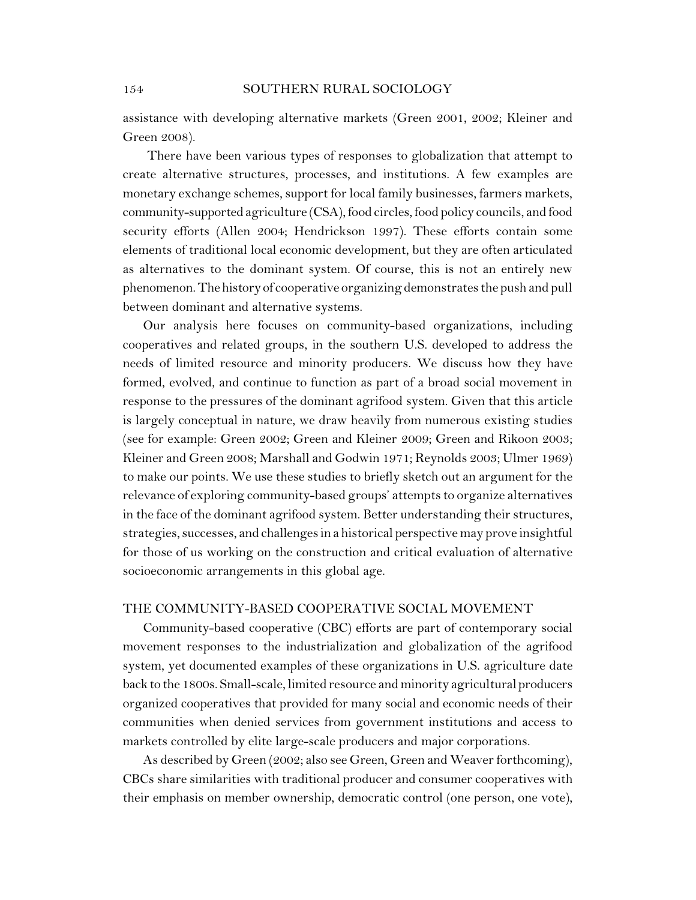assistance with developing alternative markets (Green 2001, 2002; Kleiner and Green 2008).

There have been various types of responses to globalization that attempt to create alternative structures, processes, and institutions. A few examples are monetary exchange schemes, support for local family businesses, farmers markets, community-supported agriculture (CSA), food circles, food policy councils, and food security efforts (Allen 2004; Hendrickson 1997). These efforts contain some elements of traditional local economic development, but they are often articulated as alternatives to the dominant system. Of course, this is not an entirely new phenomenon. The history of cooperative organizing demonstrates the push and pull between dominant and alternative systems.

Our analysis here focuses on community-based organizations, including cooperatives and related groups, in the southern U.S. developed to address the needs of limited resource and minority producers. We discuss how they have formed, evolved, and continue to function as part of a broad social movement in response to the pressures of the dominant agrifood system. Given that this article is largely conceptual in nature, we draw heavily from numerous existing studies (see for example: Green 2002; Green and Kleiner 2009; Green and Rikoon 2003; Kleiner and Green 2008; Marshall and Godwin 1971; Reynolds 2003; Ulmer 1969) to make our points. We use these studies to briefly sketch out an argument for the relevance of exploring community-based groups' attempts to organize alternatives in the face of the dominant agrifood system. Better understanding their structures, strategies, successes, and challenges in a historical perspective may prove insightful for those of us working on the construction and critical evaluation of alternative socioeconomic arrangements in this global age.

## THE COMMUNITY-BASED COOPERATIVE SOCIAL MOVEMENT

Community-based cooperative (CBC) efforts are part of contemporary social movement responses to the industrialization and globalization of the agrifood system, yet documented examples of these organizations in U.S. agriculture date back to the 1800s. Small-scale, limited resource and minority agricultural producers organized cooperatives that provided for many social and economic needs of their communities when denied services from government institutions and access to markets controlled by elite large-scale producers and major corporations.

As described by Green (2002; also see Green, Green and Weaver forthcoming), CBCs share similarities with traditional producer and consumer cooperatives with their emphasis on member ownership, democratic control (one person, one vote),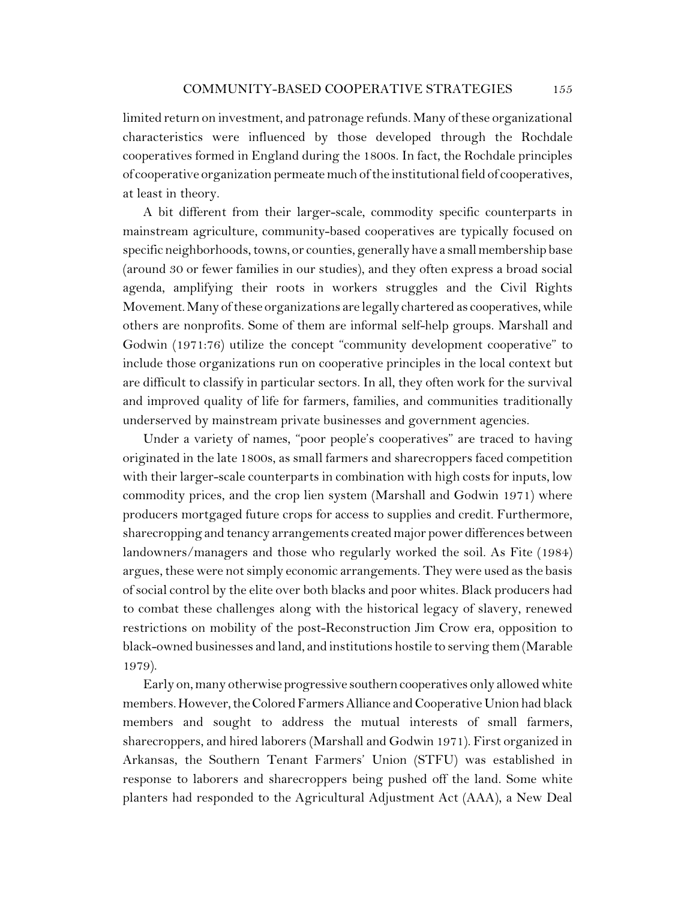limited return on investment, and patronage refunds. Many of these organizational characteristics were influenced by those developed through the Rochdale cooperatives formed in England during the 1800s. In fact, the Rochdale principles of cooperative organization permeate much of the institutional field of cooperatives, at least in theory.

A bit different from their larger-scale, commodity specific counterparts in mainstream agriculture, community-based cooperatives are typically focused on specific neighborhoods, towns, or counties, generally have a small membership base (around 30 or fewer families in our studies), and they often express a broad social agenda, amplifying their roots in workers struggles and the Civil Rights Movement. Many of these organizations are legally chartered as cooperatives, while others are nonprofits. Some of them are informal self-help groups. Marshall and Godwin (1971:76) utilize the concept "community development cooperative" to include those organizations run on cooperative principles in the local context but are difficult to classify in particular sectors. In all, they often work for the survival and improved quality of life for farmers, families, and communities traditionally underserved by mainstream private businesses and government agencies.

Under a variety of names, "poor people's cooperatives" are traced to having originated in the late 1800s, as small farmers and sharecroppers faced competition with their larger-scale counterparts in combination with high costs for inputs, low commodity prices, and the crop lien system (Marshall and Godwin 1971) where producers mortgaged future crops for access to supplies and credit. Furthermore, sharecropping and tenancy arrangements created major power differences between landowners/managers and those who regularly worked the soil. As Fite (1984) argues, these were not simply economic arrangements. They were used as the basis of social control by the elite over both blacks and poor whites. Black producers had to combat these challenges along with the historical legacy of slavery, renewed restrictions on mobility of the post-Reconstruction Jim Crow era, opposition to black-owned businesses and land, and institutions hostile to serving them (Marable 1979).

Early on, many otherwise progressive southern cooperatives only allowed white members. However, the Colored Farmers Alliance and Cooperative Union had black members and sought to address the mutual interests of small farmers, sharecroppers, and hired laborers (Marshall and Godwin 1971). First organized in Arkansas, the Southern Tenant Farmers' Union (STFU) was established in response to laborers and sharecroppers being pushed off the land. Some white planters had responded to the Agricultural Adjustment Act (AAA), a New Deal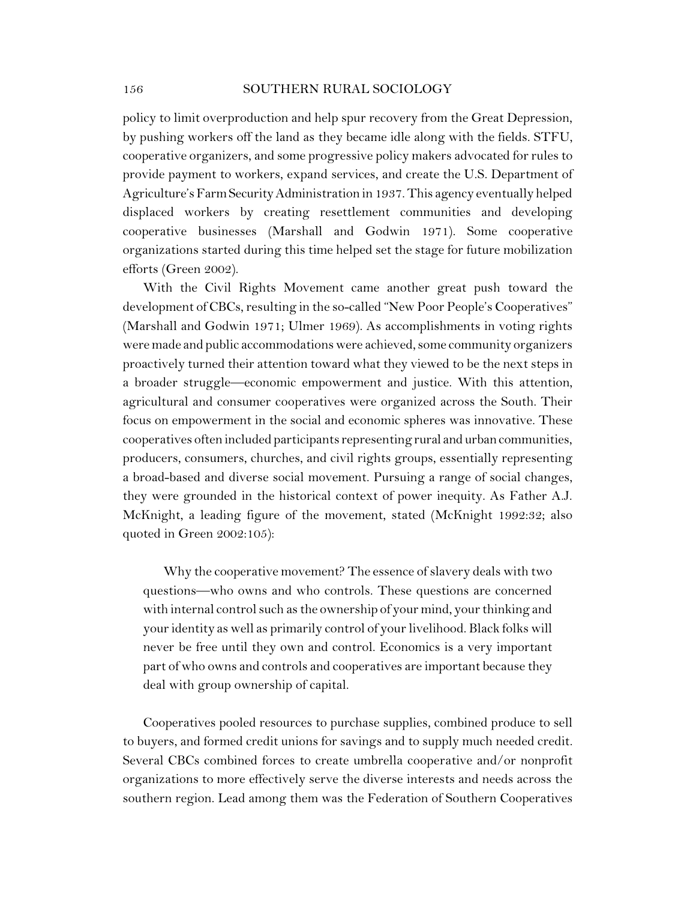policy to limit overproduction and help spur recovery from the Great Depression, by pushing workers off the land as they became idle along with the fields. STFU, cooperative organizers, and some progressive policy makers advocated for rules to provide payment to workers, expand services, and create the U.S. Department of Agriculture's FarmSecurityAdministration in 1937. This agency eventually helped displaced workers by creating resettlement communities and developing cooperative businesses (Marshall and Godwin 1971). Some cooperative organizations started during this time helped set the stage for future mobilization efforts (Green 2002).

With the Civil Rights Movement came another great push toward the development of CBCs, resulting in the so-called "New Poor People's Cooperatives" (Marshall and Godwin 1971; Ulmer 1969). As accomplishments in voting rights were made and public accommodations were achieved, some community organizers proactively turned their attention toward what they viewed to be the next steps in a broader struggle—economic empowerment and justice. With this attention, agricultural and consumer cooperatives were organized across the South. Their focus on empowerment in the social and economic spheres was innovative. These cooperatives often included participants representing rural and urbancommunities, producers, consumers, churches, and civil rights groups, essentially representing a broad-based and diverse social movement. Pursuing a range of social changes, they were grounded in the historical context of power inequity. As Father A.J. McKnight, a leading figure of the movement, stated (McKnight 1992:32; also quoted in Green 2002:105):

Why the cooperative movement? The essence of slavery deals with two questions—who owns and who controls. These questions are concerned with internal control such as the ownership of your mind, your thinking and your identity as well as primarily control of your livelihood. Black folks will never be free until they own and control. Economics is a very important part of who owns and controls and cooperatives are important because they deal with group ownership of capital.

Cooperatives pooled resources to purchase supplies, combined produce to sell to buyers, and formed credit unions for savings and to supply much needed credit. Several CBCs combined forces to create umbrella cooperative and/or nonprofit organizations to more effectively serve the diverse interests and needs across the southern region. Lead among them was the Federation of Southern Cooperatives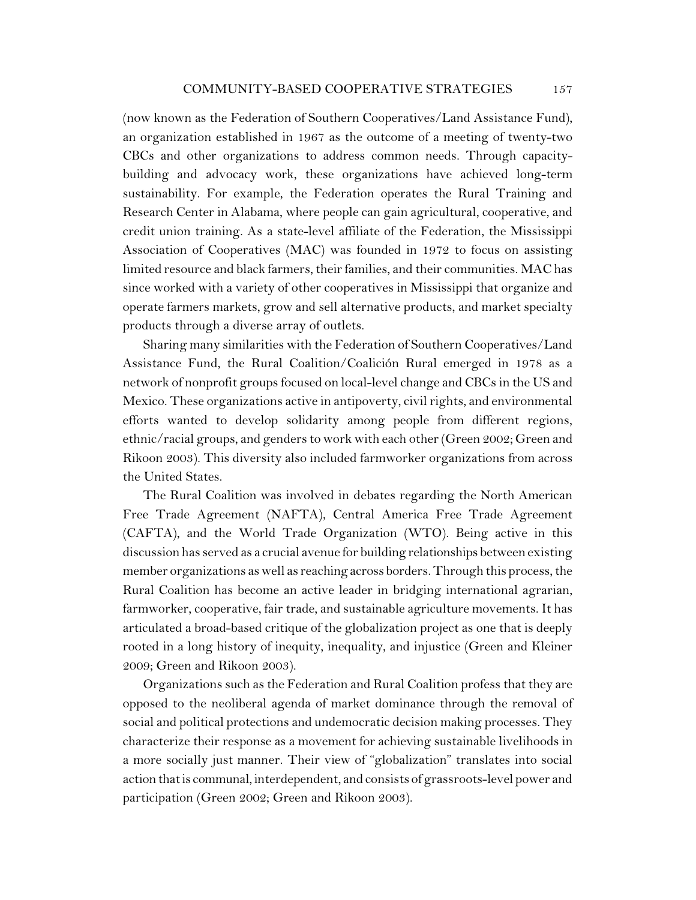(now known as the Federation of Southern Cooperatives/Land Assistance Fund), an organization established in 1967 as the outcome of a meeting of twenty-two CBCs and other organizations to address common needs. Through capacitybuilding and advocacy work, these organizations have achieved long-term sustainability. For example, the Federation operates the Rural Training and Research Center in Alabama, where people can gain agricultural, cooperative, and credit union training. As a state-level affiliate of the Federation, the Mississippi Association of Cooperatives (MAC) was founded in 1972 to focus on assisting limited resource and black farmers, their families, and their communities. MAC has since worked with a variety of other cooperatives in Mississippi that organize and operate farmers markets, grow and sell alternative products, and market specialty products through a diverse array of outlets.

Sharing many similarities with the Federation of Southern Cooperatives/Land Assistance Fund, the Rural Coalition/Coalición Rural emerged in 1978 as a network of nonprofit groups focused on local-level change and CBCs in the US and Mexico. These organizations active in antipoverty, civil rights, and environmental efforts wanted to develop solidarity among people from different regions, ethnic/racial groups, and gendersto work with each other (Green 2002; Green and Rikoon 2003). This diversity also included farmworker organizations from across the United States.

The Rural Coalition was involved in debates regarding the North American Free Trade Agreement (NAFTA), Central America Free Trade Agreement (CAFTA), and the World Trade Organization (WTO). Being active in this discussion has served as a crucial avenue for building relationships between existing member organizations as well as reaching across borders. Through this process, the Rural Coalition has become an active leader in bridging international agrarian, farmworker, cooperative, fair trade, and sustainable agriculture movements. It has articulated a broad-based critique of the globalization project as one that is deeply rooted in a long history of inequity, inequality, and injustice (Green and Kleiner 2009; Green and Rikoon 2003).

Organizations such as the Federation and Rural Coalition profess that they are opposed to the neoliberal agenda of market dominance through the removal of social and political protections and undemocratic decision making processes. They characterize their response as a movement for achieving sustainable livelihoods in a more socially just manner. Their view of "globalization" translates into social action thatis communal, interdependent, and consists of grassroots-level power and participation (Green 2002; Green and Rikoon 2003).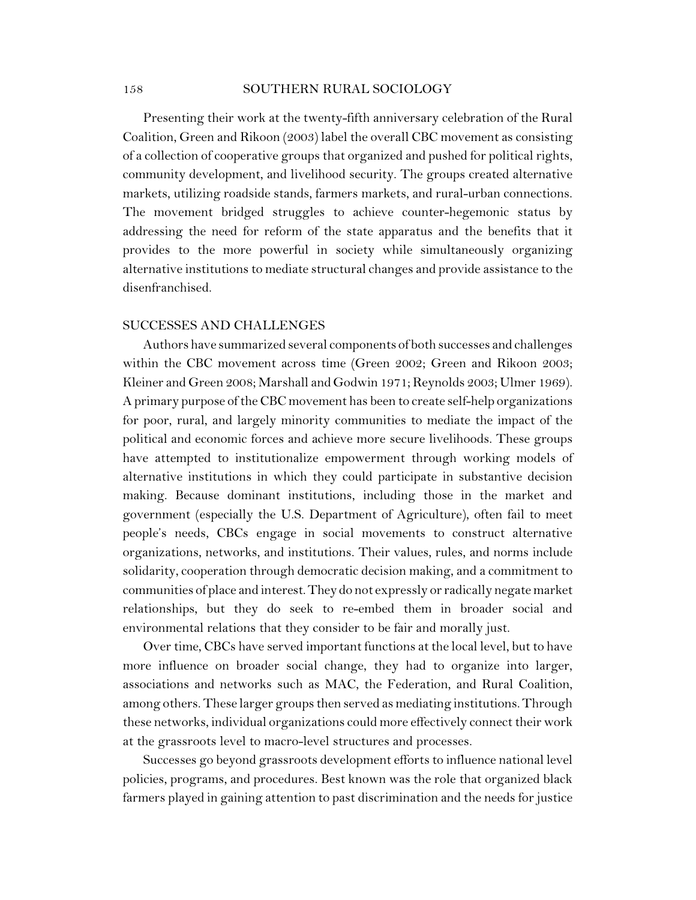Presenting their work at the twenty-fifth anniversary celebration of the Rural Coalition, Green and Rikoon (2003) label the overall CBC movement as consisting of a collection of cooperative groups that organized and pushed for political rights, community development, and livelihood security. The groups created alternative markets, utilizing roadside stands, farmers markets, and rural-urban connections. The movement bridged struggles to achieve counter-hegemonic status by addressing the need for reform of the state apparatus and the benefits that it provides to the more powerful in society while simultaneously organizing alternative institutions to mediate structural changes and provide assistance to the disenfranchised.

## SUCCESSES AND CHALLENGES

Authors have summarized several components of both successes and challenges within the CBC movement across time (Green 2002; Green and Rikoon 2003; Kleiner and Green 2008; Marshall and Godwin 1971; Reynolds 2003; Ulmer 1969). A primary purpose of the CBC movement has been to create self-help organizations for poor, rural, and largely minority communities to mediate the impact of the political and economic forces and achieve more secure livelihoods. These groups have attempted to institutionalize empowerment through working models of alternative institutions in which they could participate in substantive decision making. Because dominant institutions, including those in the market and government (especially the U.S. Department of Agriculture), often fail to meet people's needs, CBCs engage in social movements to construct alternative organizations, networks, and institutions. Their values, rules, and norms include solidarity, cooperation through democratic decision making, and a commitment to communities of place and interest.They do not expressly or radically negate market relationships, but they do seek to re-embed them in broader social and environmental relations that they consider to be fair and morally just.

Over time, CBCs have served important functions at the local level, but to have more influence on broader social change, they had to organize into larger, associations and networks such as MAC, the Federation, and Rural Coalition, among others. These larger groups then served as mediating institutions. Through these networks, individual organizations could more effectively connect their work at the grassroots level to macro-level structures and processes.

Successes go beyond grassroots development efforts to influence national level policies, programs, and procedures. Best known was the role that organized black farmers played in gaining attention to past discrimination and the needs for justice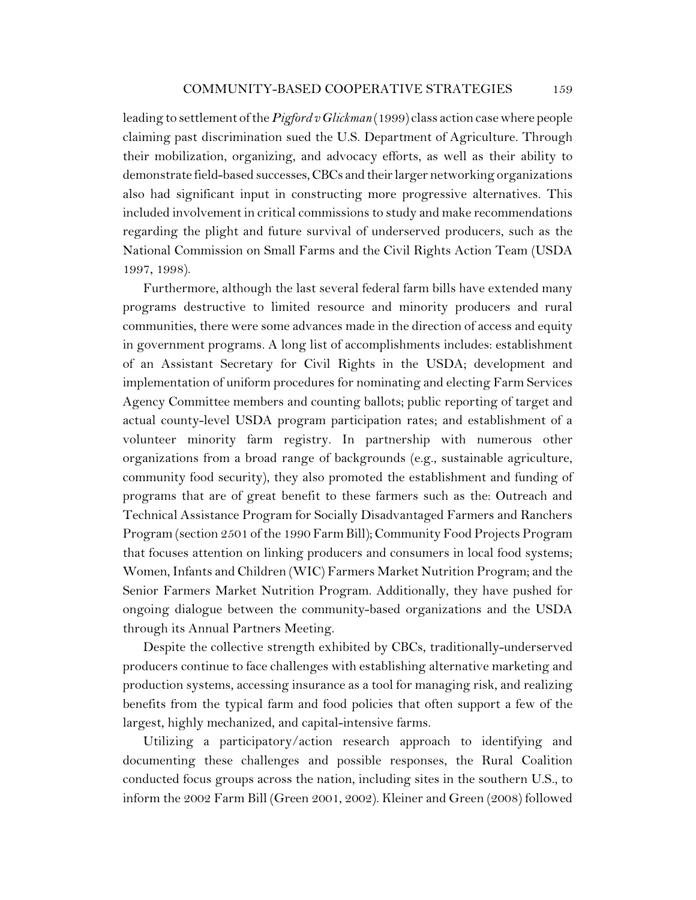leading to settlement of the *Pigford v Glickman* (1999) class action case where people claiming past discrimination sued the U.S. Department of Agriculture. Through their mobilization, organizing, and advocacy efforts, as well as their ability to demonstrate field-based successes,CBCs and their larger networking organizations also had significant input in constructing more progressive alternatives. This included involvement in critical commissions to study and make recommendations regarding the plight and future survival of underserved producers, such as the National Commission on Small Farms and the Civil Rights Action Team (USDA 1997, 1998).

Furthermore, although the last several federal farm bills have extended many programs destructive to limited resource and minority producers and rural communities, there were some advances made in the direction of access and equity in government programs. A long list of accomplishments includes: establishment of an Assistant Secretary for Civil Rights in the USDA; development and implementation of uniform procedures for nominating and electing Farm Services Agency Committee members and counting ballots; public reporting of target and actual county-level USDA program participation rates; and establishment of a volunteer minority farm registry. In partnership with numerous other organizations from a broad range of backgrounds (e.g., sustainable agriculture, community food security), they also promoted the establishment and funding of programs that are of great benefit to these farmers such as the: Outreach and Technical Assistance Program for Socially Disadvantaged Farmers and Ranchers Program (section 2501 of the 1990 Farm Bill); Community Food Projects Program that focuses attention on linking producers and consumers in local food systems; Women, Infants and Children (WIC) Farmers Market Nutrition Program; and the Senior Farmers Market Nutrition Program. Additionally, they have pushed for ongoing dialogue between the community-based organizations and the USDA through its Annual Partners Meeting.

Despite the collective strength exhibited by CBCs, traditionally-underserved producers continue to face challenges with establishing alternative marketing and production systems, accessing insurance as a tool for managing risk, and realizing benefits from the typical farm and food policies that often support a few of the largest, highly mechanized, and capital-intensive farms.

Utilizing a participatory/action research approach to identifying and documenting these challenges and possible responses, the Rural Coalition conducted focus groups across the nation, including sites in the southern U.S., to inform the 2002 Farm Bill (Green 2001, 2002). Kleiner and Green (2008) followed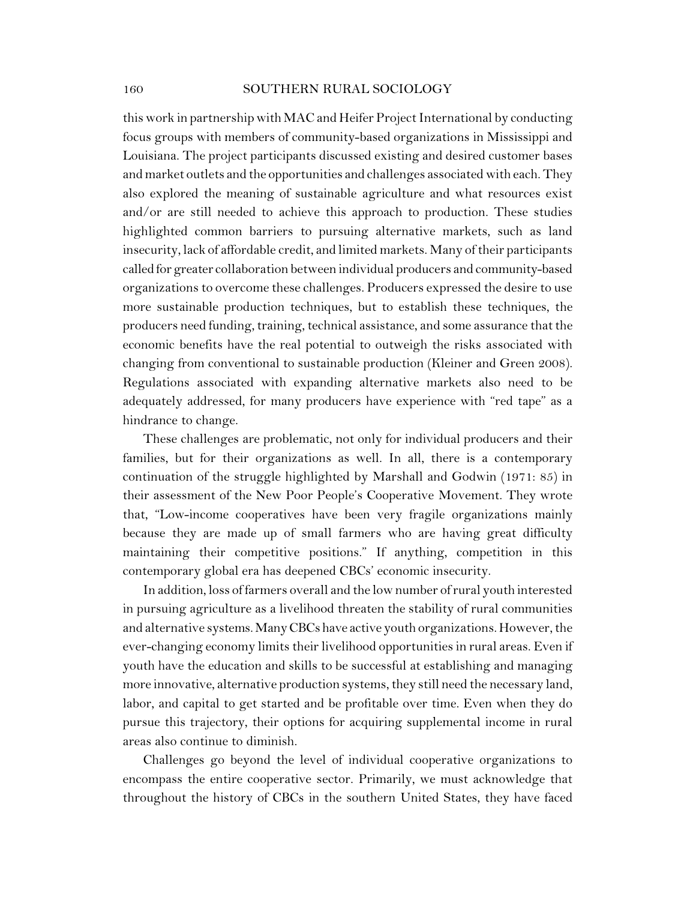this work in partnership with MAC and Heifer Project International by conducting focus groups with members of community-based organizations in Mississippi and Louisiana. The project participants discussed existing and desired customer bases and market outlets and the opportunities and challenges associated with each. They also explored the meaning of sustainable agriculture and what resources exist and/or are still needed to achieve this approach to production. These studies highlighted common barriers to pursuing alternative markets, such as land insecurity, lack of affordable credit, and limited markets. Many of their participants called for greater collaboration between individual producers and community-based organizations to overcome these challenges. Producers expressed the desire to use more sustainable production techniques, but to establish these techniques, the producers need funding, training, technical assistance, and some assurance that the economic benefits have the real potential to outweigh the risks associated with changing from conventional to sustainable production (Kleiner and Green 2008). Regulations associated with expanding alternative markets also need to be adequately addressed, for many producers have experience with "red tape" as a hindrance to change.

These challenges are problematic, not only for individual producers and their families, but for their organizations as well. In all, there is a contemporary continuation of the struggle highlighted by Marshall and Godwin (1971: 85) in their assessment of the New Poor People's Cooperative Movement. They wrote that, "Low-income cooperatives have been very fragile organizations mainly because they are made up of small farmers who are having great difficulty maintaining their competitive positions." If anything, competition in this contemporary global era has deepened CBCs' economic insecurity.

In addition, loss of farmers overall and the low number of rural youth interested in pursuing agriculture as a livelihood threaten the stability of rural communities and alternative systems.ManyCBCs have active youth organizations. However, the ever-changing economy limits their livelihood opportunities in rural areas. Even if youth have the education and skills to be successful at establishing and managing more innovative, alternative production systems, they still need the necessary land, labor, and capital to get started and be profitable over time. Even when they do pursue this trajectory, their options for acquiring supplemental income in rural areas also continue to diminish.

Challenges go beyond the level of individual cooperative organizations to encompass the entire cooperative sector. Primarily, we must acknowledge that throughout the history of CBCs in the southern United States, they have faced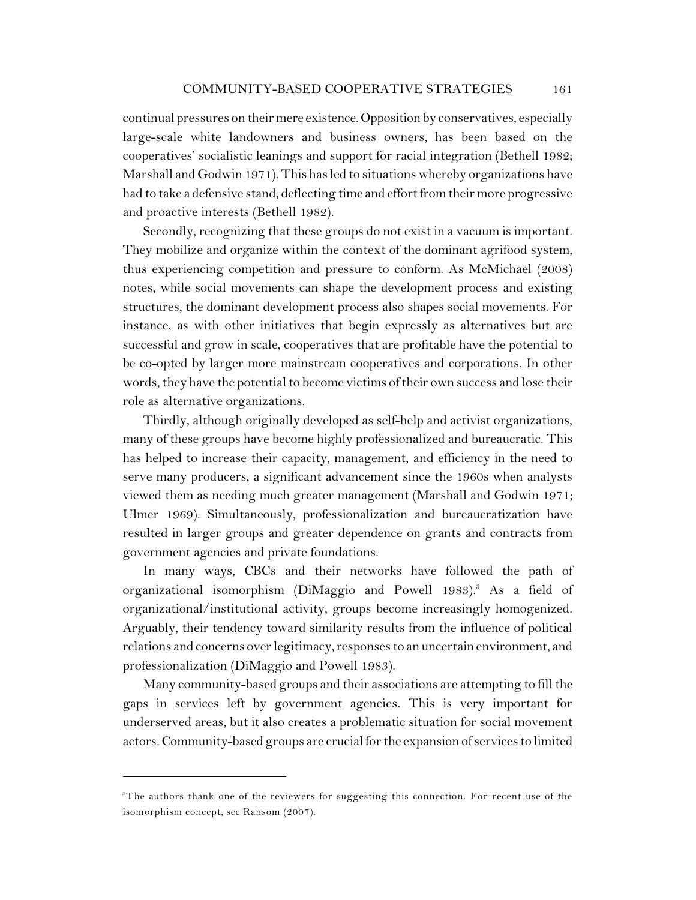continual pressures on their mere existence.Opposition by conservatives, especially large-scale white landowners and business owners, has been based on the cooperatives' socialistic leanings and support for racial integration (Bethell 1982; Marshall and Godwin 1971). This has led to situations whereby organizations have had to take a defensive stand, deflecting time and effort from their more progressive and proactive interests (Bethell 1982).

Secondly, recognizing that these groups do not exist in a vacuum is important. They mobilize and organize within the context of the dominant agrifood system, thus experiencing competition and pressure to conform. As McMichael (2008) notes, while social movements can shape the development process and existing structures, the dominant development process also shapes social movements. For instance, as with other initiatives that begin expressly as alternatives but are successful and grow in scale, cooperatives that are profitable have the potential to be co-opted by larger more mainstream cooperatives and corporations. In other words, they have the potential to become victims of their own success and lose their role as alternative organizations.

Thirdly, although originally developed as self-help and activist organizations, many of these groups have become highly professionalized and bureaucratic. This has helped to increase their capacity, management, and efficiency in the need to serve many producers, a significant advancement since the 1960s when analysts viewed them as needing much greater management (Marshall and Godwin 1971; Ulmer 1969). Simultaneously, professionalization and bureaucratization have resulted in larger groups and greater dependence on grants and contracts from government agencies and private foundations.

In many ways, CBCs and their networks have followed the path of organizational isomorphism (DiMaggio and Powell 1983).<sup>3</sup> As a field of organizational/institutional activity, groups become increasingly homogenized. Arguably, their tendency toward similarity results from the influence of political relations and concerns over legitimacy, responsesto an uncertain environment, and professionalization (DiMaggio and Powell 1983).

Many community-based groups and their associations are attempting to fill the gaps in services left by government agencies. This is very important for underserved areas, but it also creates a problematic situation for social movement actors. Community-based groups are crucial for the expansion of services to limited

<sup>&</sup>lt;sup>3</sup>The authors thank one of the reviewers for suggesting this connection. For recent use of the isomorphism concept, see Ransom (2007).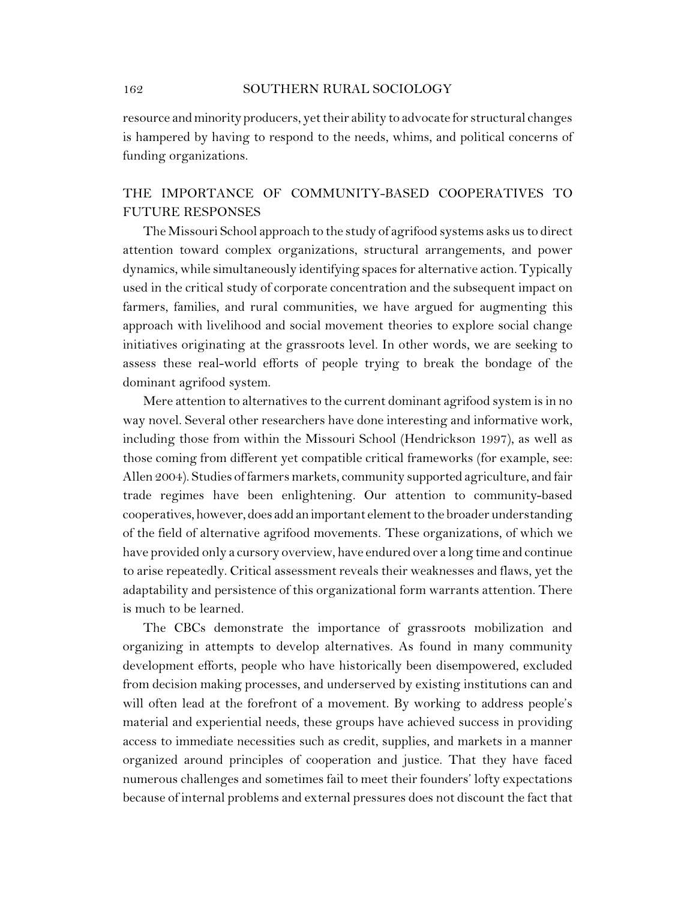resource and minority producers, yet their ability to advocate for structural changes is hampered by having to respond to the needs, whims, and political concerns of funding organizations.

# THE IMPORTANCE OF COMMUNITY-BASED COOPERATIVES TO FUTURE RESPONSES

The Missouri School approach to the study of agrifood systems asks us to direct attention toward complex organizations, structural arrangements, and power dynamics, while simultaneously identifying spaces for alternative action. Typically used in the critical study of corporate concentration and the subsequent impact on farmers, families, and rural communities, we have argued for augmenting this approach with livelihood and social movement theories to explore social change initiatives originating at the grassroots level. In other words, we are seeking to assess these real-world efforts of people trying to break the bondage of the dominant agrifood system.

Mere attention to alternatives to the current dominant agrifood system is in no way novel. Several other researchers have done interesting and informative work, including those from within the Missouri School (Hendrickson 1997), as well as those coming from different yet compatible critical frameworks (for example, see: Allen 2004). Studies of farmers markets, community supported agriculture, and fair trade regimes have been enlightening. Our attention to community-based cooperatives, however, does add animportant element to the broader understanding of the field of alternative agrifood movements. These organizations, of which we have provided only a cursory overview, have endured over a long time and continue to arise repeatedly. Critical assessment reveals their weaknesses and flaws, yet the adaptability and persistence of this organizational form warrants attention. There is much to be learned.

The CBCs demonstrate the importance of grassroots mobilization and organizing in attempts to develop alternatives. As found in many community development efforts, people who have historically been disempowered, excluded from decision making processes, and underserved by existing institutions can and will often lead at the forefront of a movement. By working to address people's material and experiential needs, these groups have achieved success in providing access to immediate necessities such as credit, supplies, and markets in a manner organized around principles of cooperation and justice. That they have faced numerous challenges and sometimes fail to meet their founders' lofty expectations because of internal problems and external pressures does not discount the fact that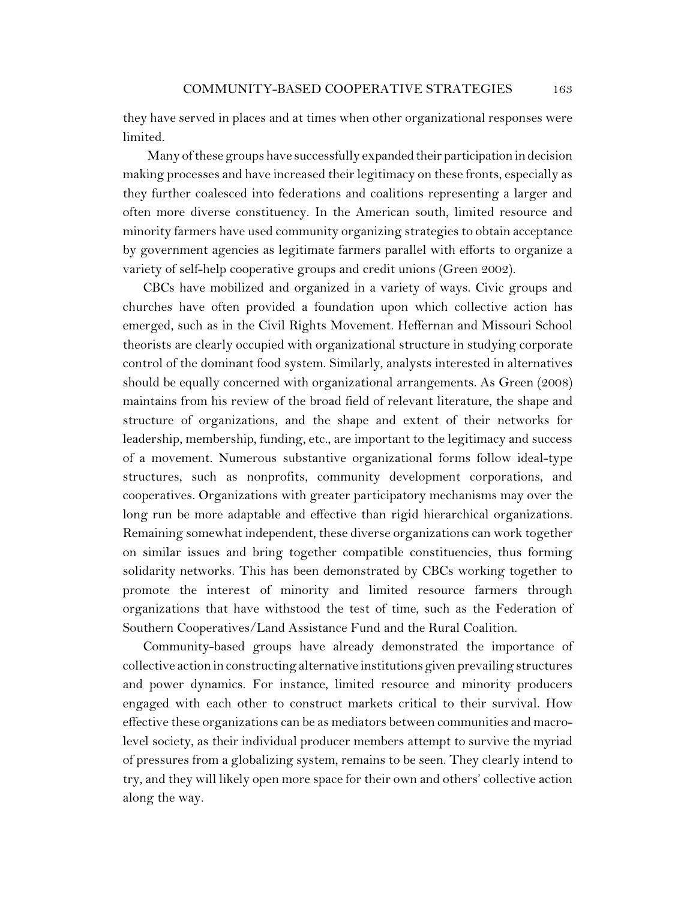they have served in places and at times when other organizational responses were limited.

Many of these groups have successfully expanded their participation in decision making processes and have increased their legitimacy on these fronts, especially as they further coalesced into federations and coalitions representing a larger and often more diverse constituency. In the American south, limited resource and minority farmers have used community organizing strategies to obtain acceptance by government agencies as legitimate farmers parallel with efforts to organize a variety of self-help cooperative groups and credit unions (Green 2002).

CBCs have mobilized and organized in a variety of ways. Civic groups and churches have often provided a foundation upon which collective action has emerged, such as in the Civil Rights Movement. Heffernan and Missouri School theorists are clearly occupied with organizational structure in studying corporate control of the dominant food system. Similarly, analysts interested in alternatives should be equally concerned with organizational arrangements. As Green (2008) maintains from his review of the broad field of relevant literature, the shape and structure of organizations, and the shape and extent of their networks for leadership, membership, funding, etc., are important to the legitimacy and success of a movement. Numerous substantive organizational forms follow ideal-type structures, such as nonprofits, community development corporations, and cooperatives. Organizations with greater participatory mechanisms may over the long run be more adaptable and effective than rigid hierarchical organizations. Remaining somewhat independent, these diverse organizations can work together on similar issues and bring together compatible constituencies, thus forming solidarity networks. This has been demonstrated by CBCs working together to promote the interest of minority and limited resource farmers through organizations that have withstood the test of time, such as the Federation of Southern Cooperatives/Land Assistance Fund and the Rural Coalition.

Community-based groups have already demonstrated the importance of collective action in constructing alternative institutions given prevailing structures and power dynamics. For instance, limited resource and minority producers engaged with each other to construct markets critical to their survival. How effective these organizations can be as mediators between communities and macrolevel society, as their individual producer members attempt to survive the myriad of pressures from a globalizing system, remains to be seen. They clearly intend to try, and they will likely open more space for their own and others' collective action along the way.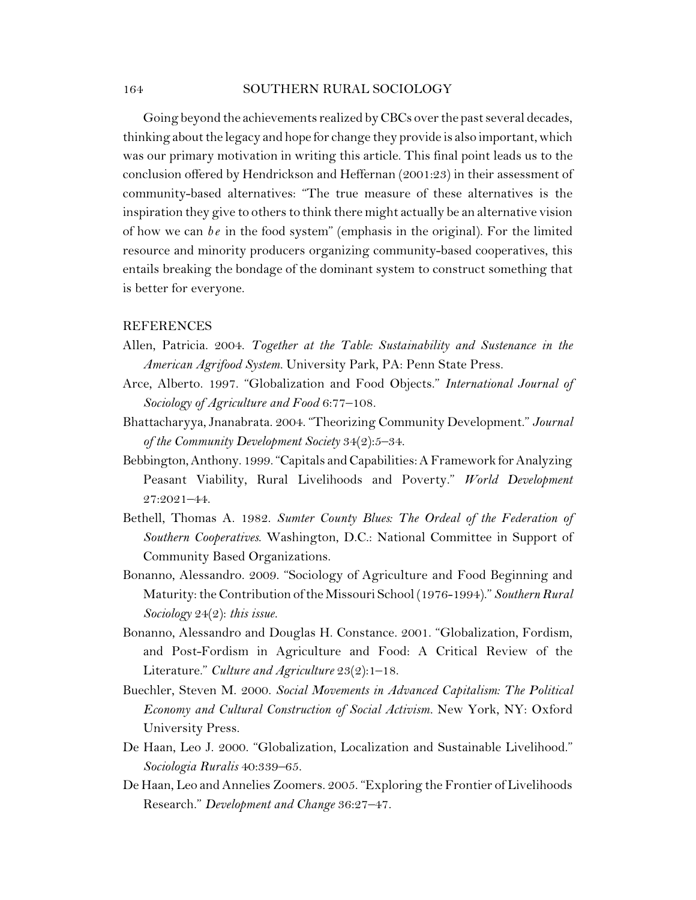Going beyond the achievements realized by CBCs over the past several decades, thinking about the legacy and hope for change they provide is also important, which was our primary motivation in writing this article. This final point leads us to the conclusion offered by Hendrickson and Heffernan (2001:23) in their assessment of community-based alternatives: "The true measure of these alternatives is the inspiration they give to others to think there might actually be an alternative vision of how we can  $be$  in the food system" (emphasis in the original). For the limited resource and minority producers organizing community-based cooperatives, this entails breaking the bondage of the dominant system to construct something that is better for everyone.

#### REFERENCES

- Allen, Patricia. 2004. *Together at the Table: Sustainability and Sustenance in the American Agrifood System.* University Park, PA: Penn State Press.
- Arce, Alberto. 1997. "Globalization and Food Objects." *International Journal of Sociology of Agriculture and Food* 6:77–108.
- Bhattacharyya, Jnanabrata. 2004. "Theorizing Community Development." *Journal of the Community Development Society* 34(2):5–34.
- Bebbington,Anthony. 1999."Capitals and Capabilities: A Framework for Analyzing Peasant Viability, Rural Livelihoods and Poverty." *World Development* 27:2021–44.
- Bethell, Thomas A. 1982. *Sumter County Blues: The Ordeal of the Federation of Southern Cooperatives*. Washington, D.C.: National Committee in Support of Community Based Organizations.
- Bonanno, Alessandro. 2009. "Sociology of Agriculture and Food Beginning and Maturity: the Contribution of the Missouri School (1976-1994)." *Southern Rural Sociology* 24(2): *this issue.*
- Bonanno, Alessandro and Douglas H. Constance. 2001. "Globalization, Fordism, and Post-Fordism in Agriculture and Food: A Critical Review of the Literature." *Culture and Agriculture* 23(2):1–18.
- Buechler, Steven M. 2000. *Social Movements in Advanced Capitalism: The Political Economy and Cultural Construction of Social Activism.* New York, NY: Oxford University Press.
- De Haan, Leo J. 2000. "Globalization, Localization and Sustainable Livelihood." *Sociologia Ruralis* 40:339–65.
- De Haan, Leo and Annelies Zoomers. 2005. "Exploring the Frontier of Livelihoods Research." *Development and Change* 36:27–47.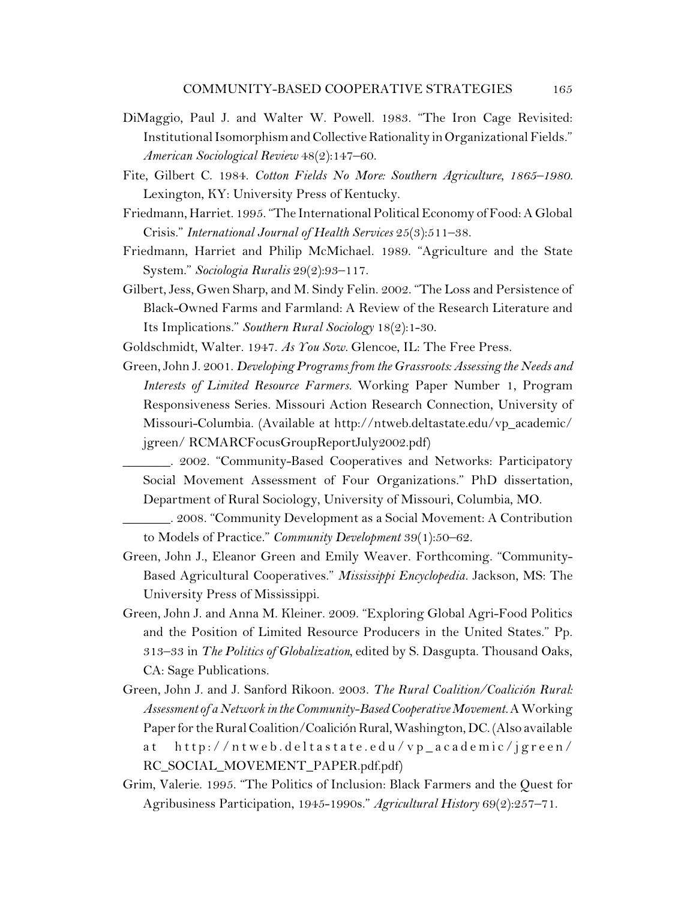- DiMaggio, Paul J. and Walter W. Powell. 1983. "The Iron Cage Revisited: Institutional Isomorphism and Collective Rationality in Organizational Fields." *American Sociological Review* 48(2):147–60.
- Fite, Gilbert C. 1984. *Cotton Fields No More: Southern Agriculture, 1865–1980.* Lexington, KY: University Press of Kentucky.
- Friedmann, Harriet. 1995. "The International Political Economy of Food: A Global Crisis." *International Journal of Health Services* 25(3):511–38.
- Friedmann, Harriet and Philip McMichael. 1989. "Agriculture and the State System." *Sociologia Ruralis* 29(2):93–117.
- Gilbert, Jess, Gwen Sharp, and M. Sindy Felin. 2002. "The Loss and Persistence of Black-Owned Farms and Farmland: A Review of the Research Literature and Its Implications." *Southern Rural Sociology* 18(2):1-30.
- Goldschmidt, Walter. 1947. *As You Sow.* Glencoe, IL: The Free Press.
- Green, John J. 2001. *Developing Programs from the Grassroots: Assessing the Needs and Interests of Limited Resource Farmers.* Working Paper Number 1, Program Responsiveness Series. Missouri Action Research Connection, University of Missouri-Columbia. (Available at http://ntweb.deltastate.edu/vp\_academic/ jgreen/ RCMARCFocusGroupReportJuly2002.pdf)
	- \_\_\_\_\_\_\_. 2002. "Community-Based Cooperatives and Networks: Participatory Social Movement Assessment of Four Organizations." PhD dissertation, Department of Rural Sociology, University of Missouri, Columbia, MO.
	- \_\_\_\_\_\_\_. 2008. "Community Development as a Social Movement: A Contribution to Models of Practice." *Community Development* 39(1):50–62.
- Green, John J., Eleanor Green and Emily Weaver. Forthcoming. "Community-Based Agricultural Cooperatives." *Mississippi Encyclopedia.* Jackson, MS: The University Press of Mississippi.
- Green, John J. and Anna M. Kleiner. 2009. "Exploring Global Agri-Food Politics and the Position of Limited Resource Producers in the United States." Pp. 313–33 in *The Politics of Globalization,* edited by S. Dasgupta. Thousand Oaks, CA: Sage Publications.
- Green, John J. and J. Sanford Rikoon. 2003. *The Rural Coalition/Coalición Rural: Assessment of a Network in the Community-BasedCooperative Movement.* A Working Paper for the Rural Coalition/Coalición Rural, Washington, DC. (Also available at http://ntweb.deltastate.edu/vp\_academic/jgreen/ RC\_SOCIAL\_MOVEMENT\_PAPER.pdf.pdf)
- Grim, Valerie. 1995. "The Politics of Inclusion: Black Farmers and the Quest for Agribusiness Participation, 1945-1990s." *Agricultural History* 69(2):257–71.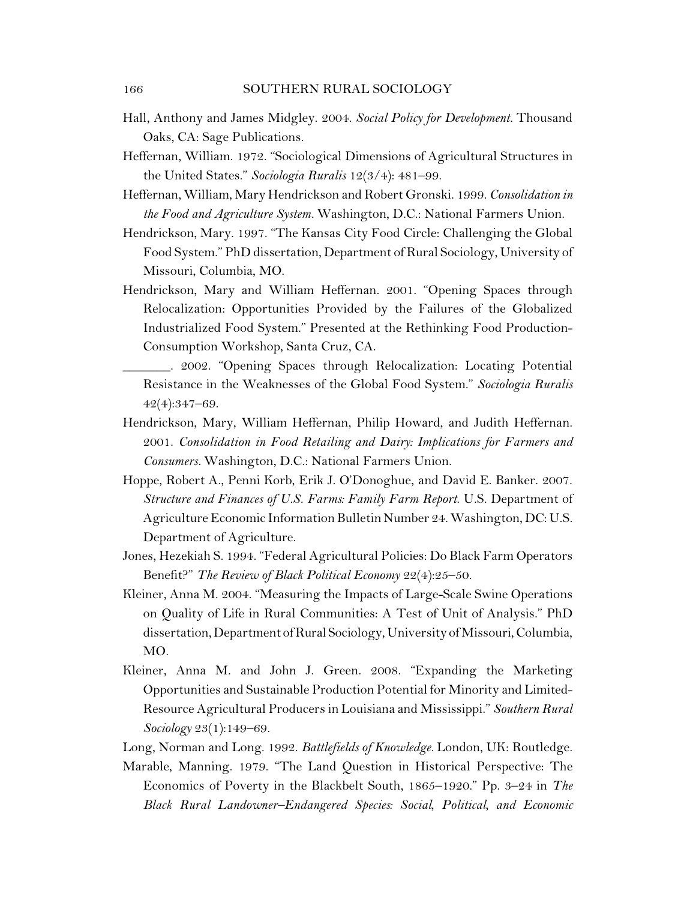- Hall, Anthony and James Midgley. 2004. *Social Policy for Development.* Thousand Oaks, CA: Sage Publications.
- Heffernan, William. 1972. "Sociological Dimensions of Agricultural Structures in the United States." *Sociologia Ruralis* 12(3/4): 481–99.
- Heffernan, William, Mary Hendrickson and Robert Gronski. 1999. *Consolidation in the Food and Agriculture System.* Washington, D.C.: National Farmers Union.
- Hendrickson, Mary. 1997. "The Kansas City Food Circle: Challenging the Global Food System." PhD dissertation, Department of Rural Sociology, University of Missouri, Columbia, MO.
- Hendrickson, Mary and William Heffernan. 2001. "Opening Spaces through Relocalization: Opportunities Provided by the Failures of the Globalized Industrialized Food System." Presented at the Rethinking Food Production-Consumption Workshop, Santa Cruz, CA.
	- \_\_\_\_\_\_\_. 2002. "Opening Spaces through Relocalization: Locating Potential Resistance in the Weaknesses of the Global Food System." *Sociologia Ruralis* 42(4):347–69.
- Hendrickson, Mary, William Heffernan, Philip Howard, and Judith Heffernan. 2001. *Consolidation in Food Retailing and Dairy: Implications for Farmers and Consumers.* Washington, D.C.: National Farmers Union.
- Hoppe, Robert A., Penni Korb, Erik J. O'Donoghue, and David E. Banker. 2007. *Structure and Finances of U.S. Farms: Family Farm Report*. U.S. Department of Agriculture Economic Information Bulletin Number 24. Washington, DC: U.S. Department of Agriculture.
- Jones, Hezekiah S. 1994. "Federal Agricultural Policies: Do Black Farm Operators Benefit?" *The Review of Black Political Economy* 22(4):25–50.
- Kleiner, Anna M. 2004. "Measuring the Impacts of Large-Scale Swine Operations on Quality of Life in Rural Communities: A Test of Unit of Analysis." PhD dissertation,Department ofRural Sociology, University of Missouri, Columbia, MO.
- Kleiner, Anna M. and John J. Green. 2008. "Expanding the Marketing Opportunities and Sustainable Production Potential for Minority and Limited-Resource Agricultural Producers in Louisiana and Mississippi." *Southern Rural Sociology* 23(1):149–69.
- Long, Norman and Long. 1992. *Battlefields of Knowledge.* London, UK: Routledge.
- Marable, Manning. 1979. "The Land Question in Historical Perspective: The Economics of Poverty in the Blackbelt South, 1865–1920." Pp. 3–24 in *The Black Rural Landowner–Endangered Species: Social, Political, and Economic*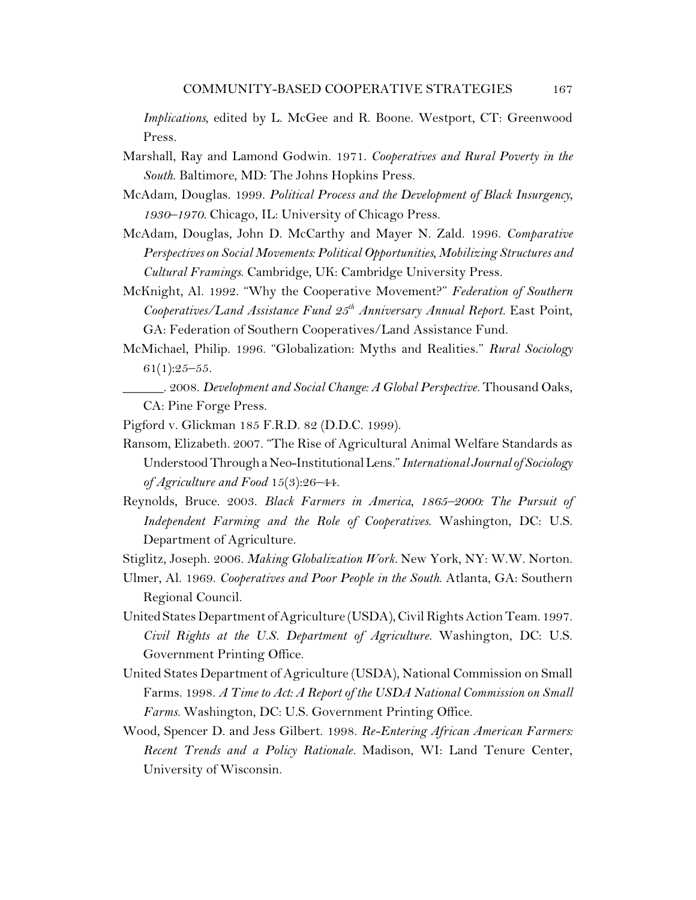*Implications*, edited by L. McGee and R. Boone. Westport, CT: Greenwood Press.

- Marshall, Ray and Lamond Godwin. 1971. *Cooperatives and Rural Poverty in the South*. Baltimore, MD: The Johns Hopkins Press.
- McAdam, Douglas. 1999. *Political Process and the Development of Black Insurgency, 1930–1970.* Chicago, IL: University of Chicago Press.
- McAdam, Douglas, John D. McCarthy and Mayer N. Zald. 1996. *Comparative Perspectives on Social Movements: Political Opportunities, Mobilizing Structures and Cultural Framings*. Cambridge, UK: Cambridge University Press.
- McKnight, Al. 1992. "Why the Cooperative Movement?" *Federation of Southern* Cooperatives/Land Assistance Fund  $25<sup>th</sup>$  Anniversary Annual Report. East Point, GA: Federation of Southern Cooperatives/Land Assistance Fund.
- McMichael, Philip. 1996. "Globalization: Myths and Realities." *Rural Sociology*  $61(1):25-55.$ 
	- \_\_\_\_\_\_. 2008. *Development and Social Change: A Global Perspective.* Thousand Oaks, CA: Pine Forge Press.
- Pigford v. Glickman 185 F.R.D. 82 (D.D.C. 1999).
- Ransom, Elizabeth. 2007. "The Rise of Agricultural Animal Welfare Standards as UnderstoodThrough a Neo-InstitutionalLens."*International Journal of Sociology of Agriculture and Food* 15(3):26–44.
- Reynolds, Bruce. 2003. *Black Farmers in America, 1865–2000: The Pursuit of Independent Farming and the Role of Cooperatives*. Washington, DC: U.S. Department of Agriculture.
- Stiglitz, Joseph. 2006. *Making Globalization Work.* New York, NY: W.W. Norton.
- Ulmer, Al. 1969. *Cooperatives and Poor People in the South*. Atlanta, GA: Southern Regional Council.
- UnitedStates Department of Agriculture (USDA), Civil Rights Action Team. 1997. *Civil Rights at the U.S. Department of Agriculture.* Washington, DC: U.S. Government Printing Office.
- United States Department of Agriculture (USDA), National Commission on Small Farms. 1998. *A Time to Act: A Report of the USDA National Commission on Small Farms.* Washington, DC: U.S. Government Printing Office.
- Wood, Spencer D. and Jess Gilbert. 1998. *Re-Entering African American Farmers: Recent Trends and a Policy Rationale.* Madison, WI: Land Tenure Center, University of Wisconsin.